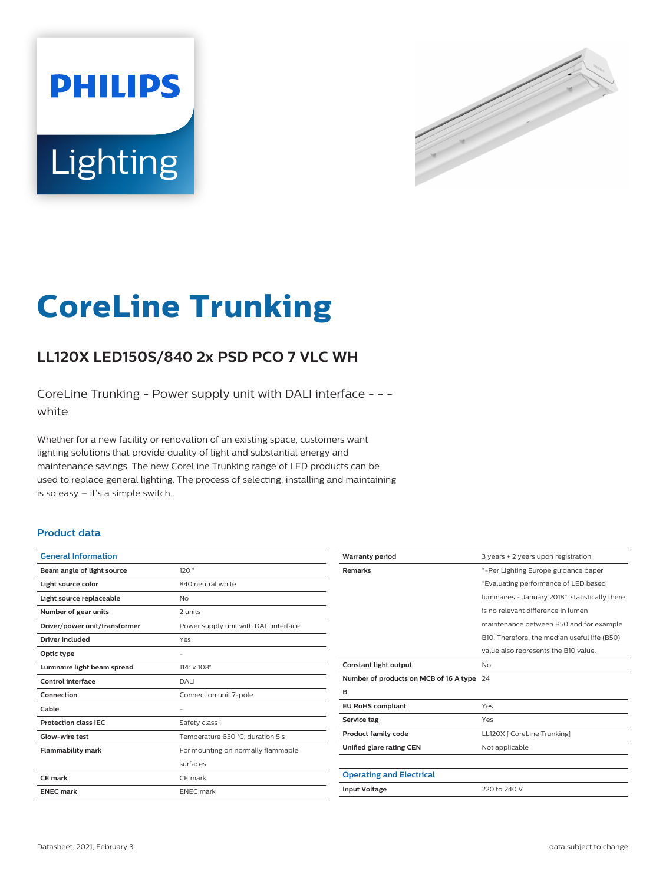



# **CoreLine Trunking**

# **LL120X LED150S/840 2x PSD PCO 7 VLC WH**

CoreLine Trunking - Power supply unit with DALI interface - - white

Whether for a new facility or renovation of an existing space, customers want lighting solutions that provide quality of light and substantial energy and maintenance savings. The new CoreLine Trunking range of LED products can be used to replace general lighting. The process of selecting, installing and maintaining is so easy – it's a simple switch.

#### **Product data**

| <b>General Information</b>    |                                       |
|-------------------------------|---------------------------------------|
| Beam angle of light source    | 120°                                  |
| Light source color            | 840 neutral white                     |
| Light source replaceable      | No                                    |
| Number of gear units          | 2 units                               |
| Driver/power unit/transformer | Power supply unit with DALI interface |
| Driver included               | Yes                                   |
| Optic type                    |                                       |
| Luminaire light beam spread   | $114^\circ \times 108^\circ$          |
| Control interface             | DALI                                  |
| Connection                    | Connection unit 7-pole                |
| Cable                         |                                       |
| <b>Protection class IEC</b>   | Safety class I                        |
| Glow-wire test                | Temperature 650 °C, duration 5 s      |
| <b>Flammability mark</b>      | For mounting on normally flammable    |
|                               | surfaces                              |
| CE mark                       | CE mark                               |
| <b>ENEC mark</b>              | <b>ENEC</b> mark                      |
|                               |                                       |

| <b>Warranty period</b>                    | 3 years + 2 years upon registration             |
|-------------------------------------------|-------------------------------------------------|
| <b>Remarks</b>                            | *-Per Lighting Europe guidance paper            |
|                                           | "Evaluating performance of LED based            |
|                                           | luminaires - January 2018": statistically there |
|                                           | is no relevant difference in lumen              |
|                                           | maintenance between B50 and for example         |
|                                           | B10. Therefore, the median useful life (B50)    |
|                                           | value also represents the B10 value.            |
| Constant light output                     | No                                              |
| Number of products on MCB of 16 A type 24 |                                                 |
| в                                         |                                                 |
| <b>EU RoHS compliant</b>                  | Yes                                             |
| Service tag                               | Yes                                             |
| <b>Product family code</b>                | LL120X [ CoreLine Trunking]                     |
| Unified glare rating CEN                  | Not applicable                                  |
|                                           |                                                 |
| <b>Operating and Electrical</b>           |                                                 |
| <b>Input Voltage</b>                      | 220 to 240 V                                    |
|                                           |                                                 |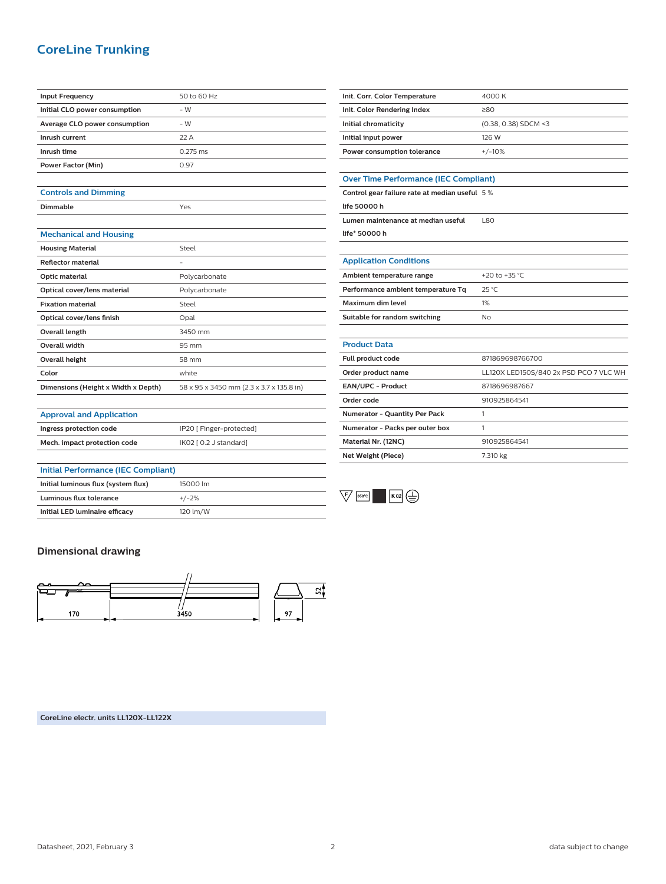# **CoreLine Trunking**

| <b>Input Frequency</b>        | 50 to 60 Hz |
|-------------------------------|-------------|
| Initial CLO power consumption | $-W$        |
| Average CLO power consumption | $-W$        |
| Inrush current                | 22A         |
| Inrush time                   | $0.275$ ms  |
| Power Factor (Min)            | 0.97        |
|                               |             |

### **Controls and Dimming**

**Dimmable** Yes

| <b>Mechanical and Housing</b> |  |
|-------------------------------|--|
|                               |  |

| <b>Housing Material</b>             | Steel                                    |
|-------------------------------------|------------------------------------------|
| <b>Reflector material</b>           |                                          |
| Optic material                      | Polycarbonate                            |
| Optical cover/lens material         | Polycarbonate                            |
| <b>Fixation material</b>            | Steel                                    |
| Optical cover/lens finish           | Opal                                     |
| Overall length                      | 3450 mm                                  |
| <b>Overall width</b>                | 95 mm                                    |
| Overall height                      | 58 mm                                    |
| Color                               | white                                    |
| Dimensions (Height x Width x Depth) | 58 x 95 x 3450 mm (2.3 x 3.7 x 135.8 in) |

**Ingress protection code IP20** [ Finger-protected] **Mech. impact protection code** IK02 [ 0.2 J standard]

| Init. Corr. Color Temperature | 4000 K                 |
|-------------------------------|------------------------|
| Init. Color Rendering Index   | 280                    |
| Initial chromaticity          | $(0.38, 0.38)$ SDCM <3 |
| Initial input power           | 126 W                  |
| Power consumption tolerance   | $+/-10%$               |

#### **Over Time Performance (IEC Compliant)**

**Control gear failure rate at median useful** 5 % **life 50000 h**

| Lumen maintenance at median useful | 1.80 |
|------------------------------------|------|
| life* 50000 h                      |      |

#### **Application Conditions**

| Ambient temperature range          | +20 to +35 °C  |
|------------------------------------|----------------|
| Performance ambient temperature Tq | $25^{\circ}$ C |
| Maximum dim level                  | 1%             |
| Suitable for random switching      | No             |

# **Product Data**

| <b>Full product code</b>             | 871869698766700                        |
|--------------------------------------|----------------------------------------|
| Order product name                   | LL120X LED150S/840 2x PSD PCO 7 VLC WH |
| <b>EAN/UPC - Product</b>             | 8718696987667                          |
| Order code                           | 910925864541                           |
| <b>Numerator - Quantity Per Pack</b> |                                        |
| Numerator - Packs per outer box      |                                        |
| Material Nr. (12NC)                  | 910925864541                           |
| Net Weight (Piece)                   | 7.310 kg                               |



# **Dimensional drawing**

**Approval and Application**

**Initial Performance (IEC Compliant)**

**Initial luminous flux (system flux)** 15000 lm **Luminous flux tolerance** +/-2% **Initial LED luminaire efficacy** 120 lm/W



**CoreLine electr. units LL120X-LL122X**